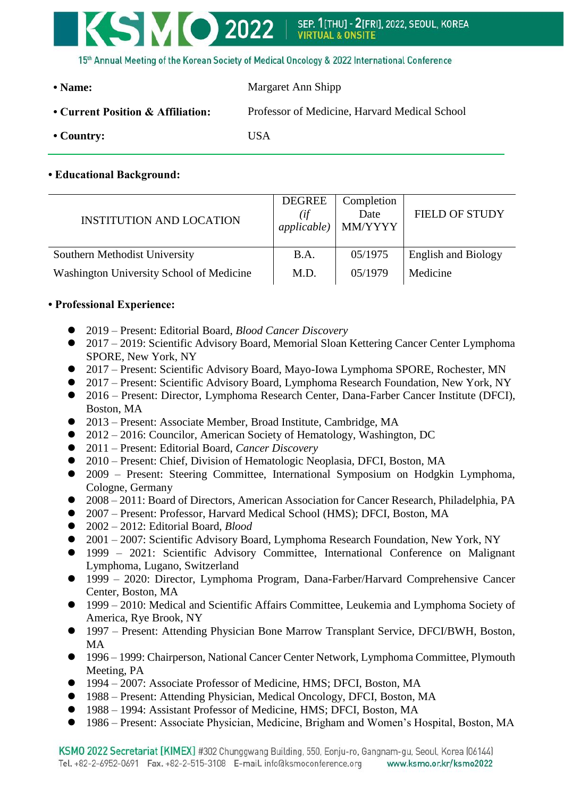

• Name: Margaret Ann Shipp **• Current Position & Affiliation:** Professor of Medicine, Harvard Medical School **• Country:** USA

## **• Educational Background:**

| <b>INSTITUTION AND LOCATION</b>          | <b>DEGREE</b><br>(if<br><i>applicable</i> ) | Completion<br>Date<br>MM/YYYY | <b>FIELD OF STUDY</b>      |
|------------------------------------------|---------------------------------------------|-------------------------------|----------------------------|
| Southern Methodist University            | B.A.                                        | 05/1975                       | <b>English and Biology</b> |
| Washington University School of Medicine | M.D.                                        | 05/1979                       | Medicine                   |

## **• Professional Experience:**

- 2019 Present: Editorial Board, *Blood Cancer Discovery*
- 2017 2019: Scientific Advisory Board, Memorial Sloan Kettering Cancer Center Lymphoma SPORE, New York, NY
- 2017 Present: Scientific Advisory Board, Mayo-Iowa Lymphoma SPORE, Rochester, MN
- 2017 Present: Scientific Advisory Board, Lymphoma Research Foundation, New York, NY
- 2016 Present: Director, Lymphoma Research Center, Dana-Farber Cancer Institute (DFCI), Boston, MA
- 2013 Present: Associate Member, Broad Institute, Cambridge, MA
- 2012 2016: Councilor, American Society of Hematology, Washington, DC
- 2011 Present: Editorial Board, *Cancer Discovery*
- 2010 Present: Chief, Division of Hematologic Neoplasia, DFCI, Boston, MA
- 2009 Present: Steering Committee, International Symposium on Hodgkin Lymphoma, Cologne, Germany
- 2008 2011: Board of Directors, American Association for Cancer Research, Philadelphia, PA
- 2007 Present: Professor, Harvard Medical School (HMS); DFCI, Boston, MA
- 2002 2012: Editorial Board, *Blood*
- 2001 2007: Scientific Advisory Board, Lymphoma Research Foundation, New York, NY
- 1999 2021: Scientific Advisory Committee, International Conference on Malignant Lymphoma, Lugano, Switzerland
- 1999 2020: Director, Lymphoma Program, Dana-Farber/Harvard Comprehensive Cancer Center, Boston, MA
- 1999 2010: Medical and Scientific Affairs Committee, Leukemia and Lymphoma Society of America, Rye Brook, NY
- 1997 Present: Attending Physician Bone Marrow Transplant Service, DFCI/BWH, Boston, MA
- 1996 1999: Chairperson, National Cancer Center Network, Lymphoma Committee, Plymouth Meeting, PA
- 1994 2007: Associate Professor of Medicine, HMS; DFCI, Boston, MA
- 1988 Present: Attending Physician, Medical Oncology, DFCI, Boston, MA
- 1988 1994: Assistant Professor of Medicine, HMS; DFCI, Boston, MA
- 1986 Present: Associate Physician, Medicine, Brigham and Women's Hospital, Boston, MA